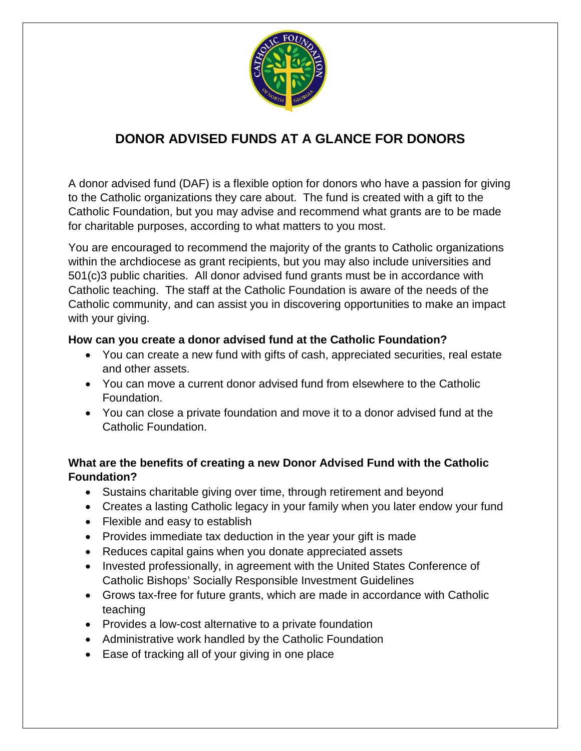

## **DONOR ADVISED FUNDS AT A GLANCE FOR DONORS**

A donor advised fund (DAF) is a flexible option for donors who have a passion for giving to the Catholic organizations they care about. The fund is created with a gift to the Catholic Foundation, but you may advise and recommend what grants are to be made for charitable purposes, according to what matters to you most.

You are encouraged to recommend the majority of the grants to Catholic organizations within the archdiocese as grant recipients, but you may also include universities and 501(c)3 public charities. All donor advised fund grants must be in accordance with Catholic teaching. The staff at the Catholic Foundation is aware of the needs of the Catholic community, and can assist you in discovering opportunities to make an impact with your giving.

## **How can you create a donor advised fund at the Catholic Foundation?**

- You can create a new fund with gifts of cash, appreciated securities, real estate and other assets.
- You can move a current donor advised fund from elsewhere to the Catholic Foundation.
- You can close a private foundation and move it to a donor advised fund at the Catholic Foundation.

## **What are the benefits of creating a new Donor Advised Fund with the Catholic Foundation?**

- Sustains charitable giving over time, through retirement and beyond
- Creates a lasting Catholic legacy in your family when you later endow your fund
- Flexible and easy to establish
- Provides immediate tax deduction in the year your gift is made
- Reduces capital gains when you donate appreciated assets
- Invested professionally, in agreement with the United States Conference of Catholic Bishops' Socially Responsible Investment Guidelines
- Grows tax-free for future grants, which are made in accordance with Catholic teaching
- Provides a low-cost alternative to a private foundation
- Administrative work handled by the Catholic Foundation
- Ease of tracking all of your giving in one place